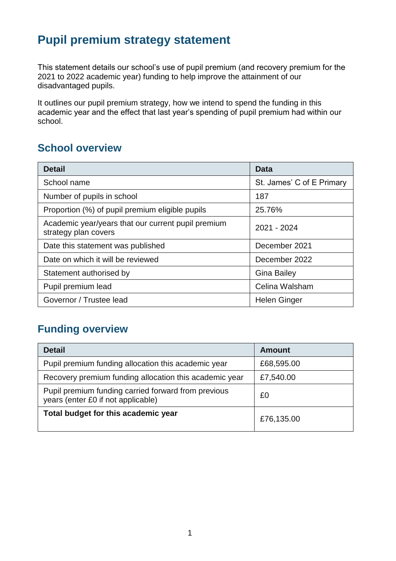# **Pupil premium strategy statement**

This statement details our school's use of pupil premium (and recovery premium for the 2021 to 2022 academic year) funding to help improve the attainment of our disadvantaged pupils.

It outlines our pupil premium strategy, how we intend to spend the funding in this academic year and the effect that last year's spending of pupil premium had within our school.

# **School overview**

| <b>Detail</b>                                                              | Data                      |
|----------------------------------------------------------------------------|---------------------------|
| School name                                                                | St. James' C of E Primary |
| Number of pupils in school<br>187                                          |                           |
| Proportion (%) of pupil premium eligible pupils<br>25.76%                  |                           |
| Academic year/years that our current pupil premium<br>strategy plan covers | 2021 - 2024               |
| Date this statement was published                                          | December 2021             |
| Date on which it will be reviewed                                          | December 2022             |
| Statement authorised by                                                    | <b>Gina Bailey</b>        |
| Pupil premium lead                                                         | Celina Walsham            |
| Governor / Trustee lead                                                    | <b>Helen Ginger</b>       |

## **Funding overview**

| <b>Detail</b>                                                                             | <b>Amount</b> |
|-------------------------------------------------------------------------------------------|---------------|
| Pupil premium funding allocation this academic year                                       | £68,595.00    |
| Recovery premium funding allocation this academic year                                    | £7,540.00     |
| Pupil premium funding carried forward from previous<br>years (enter £0 if not applicable) | £0            |
| Total budget for this academic year                                                       | £76,135.00    |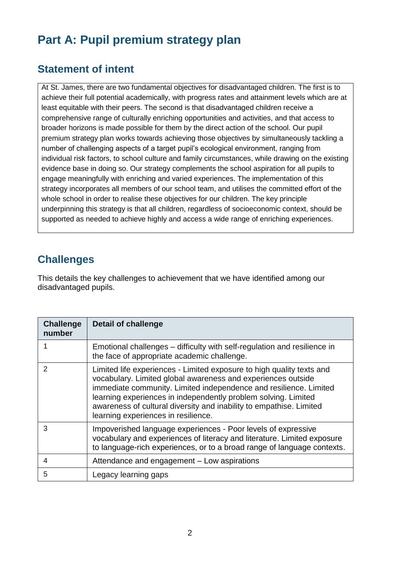# **Part A: Pupil premium strategy plan**

### **Statement of intent**

At St. James, there are two fundamental objectives for disadvantaged children. The first is to achieve their full potential academically, with progress rates and attainment levels which are at least equitable with their peers. The second is that disadvantaged children receive a comprehensive range of culturally enriching opportunities and activities, and that access to broader horizons is made possible for them by the direct action of the school. Our pupil premium strategy plan works towards achieving those objectives by simultaneously tackling a number of challenging aspects of a target pupil's ecological environment, ranging from individual risk factors, to school culture and family circumstances, while drawing on the existing evidence base in doing so. Our strategy complements the school aspiration for all pupils to engage meaningfully with enriching and varied experiences. The implementation of this strategy incorporates all members of our school team, and utilises the committed effort of the whole school in order to realise these objectives for our children. The key principle underpinning this strategy is that all children, regardless of socioeconomic context, should be supported as needed to achieve highly and access a wide range of enriching experiences.

## **Challenges**

This details the key challenges to achievement that we have identified among our disadvantaged pupils.

| <b>Challenge</b><br>number | <b>Detail of challenge</b>                                                                                                                                                                                                                                                                                                                                                                 |
|----------------------------|--------------------------------------------------------------------------------------------------------------------------------------------------------------------------------------------------------------------------------------------------------------------------------------------------------------------------------------------------------------------------------------------|
|                            | Emotional challenges – difficulty with self-regulation and resilience in<br>the face of appropriate academic challenge.                                                                                                                                                                                                                                                                    |
| 2                          | Limited life experiences - Limited exposure to high quality texts and<br>vocabulary. Limited global awareness and experiences outside<br>immediate community. Limited independence and resilience. Limited<br>learning experiences in independently problem solving. Limited<br>awareness of cultural diversity and inability to empathise. Limited<br>learning experiences in resilience. |
| 3                          | Impoverished language experiences - Poor levels of expressive<br>vocabulary and experiences of literacy and literature. Limited exposure<br>to language-rich experiences, or to a broad range of language contexts.                                                                                                                                                                        |
| 4                          | Attendance and engagement - Low aspirations                                                                                                                                                                                                                                                                                                                                                |
| 5                          | Legacy learning gaps                                                                                                                                                                                                                                                                                                                                                                       |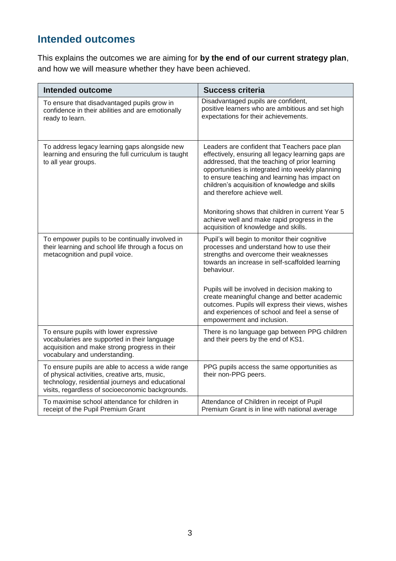# **Intended outcomes**

This explains the outcomes we are aiming for **by the end of our current strategy plan**, and how we will measure whether they have been achieved.

| <b>Intended outcome</b>                                                                                                                                                                                   | <b>Success criteria</b>                                                                                                                                                                                                                                                                                                                                                                                                                                                                |
|-----------------------------------------------------------------------------------------------------------------------------------------------------------------------------------------------------------|----------------------------------------------------------------------------------------------------------------------------------------------------------------------------------------------------------------------------------------------------------------------------------------------------------------------------------------------------------------------------------------------------------------------------------------------------------------------------------------|
| To ensure that disadvantaged pupils grow in<br>confidence in their abilities and are emotionally<br>ready to learn.                                                                                       | Disadvantaged pupils are confident,<br>positive learners who are ambitious and set high<br>expectations for their achievements.                                                                                                                                                                                                                                                                                                                                                        |
| To address legacy learning gaps alongside new<br>learning and ensuring the full curriculum is taught<br>to all year groups.                                                                               | Leaders are confident that Teachers pace plan<br>effectively, ensuring all legacy learning gaps are<br>addressed, that the teaching of prior learning<br>opportunities is integrated into weekly planning<br>to ensure teaching and learning has impact on<br>children's acquisition of knowledge and skills<br>and therefore achieve well.<br>Monitoring shows that children in current Year 5<br>achieve well and make rapid progress in the<br>acquisition of knowledge and skills. |
| To empower pupils to be continually involved in<br>their learning and school life through a focus on<br>metacognition and pupil voice.                                                                    | Pupil's will begin to monitor their cognitive<br>processes and understand how to use their<br>strengths and overcome their weaknesses<br>towards an increase in self-scaffolded learning<br>behaviour.<br>Pupils will be involved in decision making to<br>create meaningful change and better academic<br>outcomes. Pupils will express their views, wishes<br>and experiences of school and feel a sense of<br>empowerment and inclusion.                                            |
| To ensure pupils with lower expressive<br>vocabularies are supported in their language<br>acquisition and make strong progress in their<br>vocabulary and understanding.                                  | There is no language gap between PPG children<br>and their peers by the end of KS1.                                                                                                                                                                                                                                                                                                                                                                                                    |
| To ensure pupils are able to access a wide range<br>of physical activities, creative arts, music,<br>technology, residential journeys and educational<br>visits, regardless of socioeconomic backgrounds. | PPG pupils access the same opportunities as<br>their non-PPG peers.                                                                                                                                                                                                                                                                                                                                                                                                                    |
| To maximise school attendance for children in<br>receipt of the Pupil Premium Grant                                                                                                                       | Attendance of Children in receipt of Pupil<br>Premium Grant is in line with national average                                                                                                                                                                                                                                                                                                                                                                                           |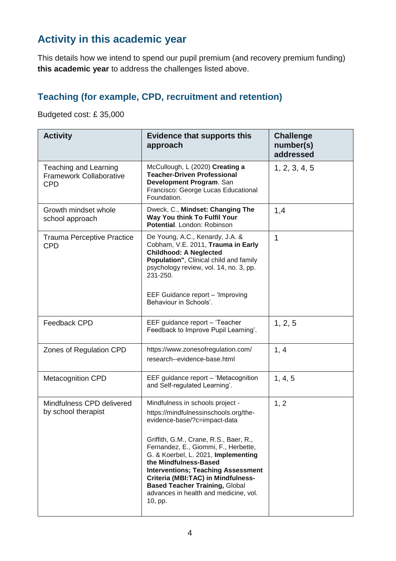# **Activity in this academic year**

This details how we intend to spend our pupil premium (and recovery premium funding) **this academic year** to address the challenges listed above.

#### **Teaching (for example, CPD, recruitment and retention)**

Budgeted cost: £ 35,000

| <b>Activity</b>                                                              | <b>Evidence that supports this</b><br>approach                                                                                                                                                                                                                                                                                                                                                                                              | <b>Challenge</b><br>number(s)<br>addressed |
|------------------------------------------------------------------------------|---------------------------------------------------------------------------------------------------------------------------------------------------------------------------------------------------------------------------------------------------------------------------------------------------------------------------------------------------------------------------------------------------------------------------------------------|--------------------------------------------|
| <b>Teaching and Learning</b><br><b>Framework Collaborative</b><br><b>CPD</b> | McCullough, L (2020) Creating a<br><b>Teacher-Driven Professional</b><br>Development Program. San<br>Francisco: George Lucas Educational<br>Foundation.                                                                                                                                                                                                                                                                                     | 1, 2, 3, 4, 5                              |
| Growth mindset whole<br>school approach                                      | Dweck, C., Mindset: Changing The<br>Way You think To Fulfil Your<br>Potential, London: Robinson                                                                                                                                                                                                                                                                                                                                             | 1,4                                        |
| <b>Trauma Perceptive Practice</b><br><b>CPD</b>                              | De Young, A.C., Kenardy, J.A. &<br>Cobham, V.E. 2011, Trauma in Early<br><b>Childhood: A Neglected</b><br>Population", Clinical child and family<br>psychology review, vol. 14, no. 3, pp.<br>231-250.<br>EEF Guidance report - 'Improving<br>Behaviour in Schools'.                                                                                                                                                                        | 1                                          |
| Feedback CPD                                                                 | EEF guidance report - 'Teacher<br>Feedback to Improve Pupil Learning'.                                                                                                                                                                                                                                                                                                                                                                      | 1, 2, 5                                    |
| Zones of Regulation CPD                                                      | https://www.zonesofregulation.com/<br>research--evidence-base.html                                                                                                                                                                                                                                                                                                                                                                          | 1, 4                                       |
| <b>Metacognition CPD</b>                                                     | EEF guidance report - 'Metacognition<br>and Self-regulated Learning'.                                                                                                                                                                                                                                                                                                                                                                       | 1, 4, 5                                    |
| Mindfulness CPD delivered<br>by school therapist                             | Mindfulness in schools project -<br>https://mindfulnessinschools.org/the-<br>evidence-base/?c=impact-data<br>Griffith, G.M., Crane, R.S., Baer, R.,<br>Fernandez, E., Giommi, F., Herbette,<br>G. & Koerbel, L. 2021, Implementing<br>the Mindfulness-Based<br><b>Interventions; Teaching Assessment</b><br>Criteria (MBI:TAC) in Mindfulness-<br><b>Based Teacher Training, Global</b><br>advances in health and medicine, vol.<br>10, pp. | 1, 2                                       |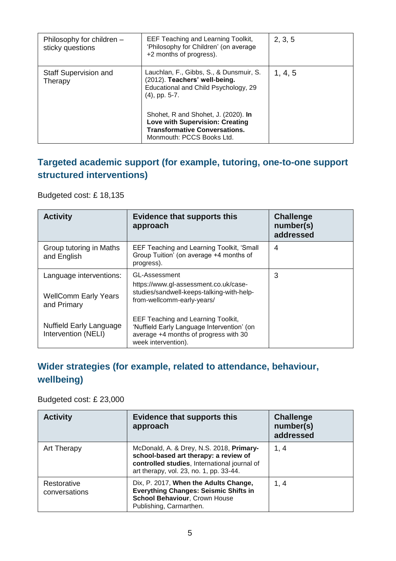| Philosophy for children -<br>sticky questions | EEF Teaching and Learning Toolkit,<br>'Philosophy for Children' (on average<br>+2 months of progress).                                                                                                                                                                              | 2, 3, 5 |
|-----------------------------------------------|-------------------------------------------------------------------------------------------------------------------------------------------------------------------------------------------------------------------------------------------------------------------------------------|---------|
| <b>Staff Supervision and</b><br>Therapy       | Lauchlan, F., Gibbs, S., & Dunsmuir, S.<br>(2012). Teachers' well-being.<br>Educational and Child Psychology, 29<br>$(4)$ , pp. 5-7.<br>Shohet, R and Shohet, J. (2020). In<br>Love with Supervision: Creating<br><b>Transformative Conversations.</b><br>Monmouth: PCCS Books Ltd. | 1, 4, 5 |

### **Targeted academic support (for example, tutoring, one-to-one support structured interventions)**

Budgeted cost: £ 18,135

| <b>Activity</b>                                                       | <b>Evidence that supports this</b><br>approach                                                                                                   | <b>Challenge</b><br>number(s)<br>addressed |
|-----------------------------------------------------------------------|--------------------------------------------------------------------------------------------------------------------------------------------------|--------------------------------------------|
| Group tutoring in Maths<br>and English                                | EEF Teaching and Learning Toolkit, 'Small<br>Group Tuition' (on average +4 months of<br>progress).                                               | 4                                          |
| Language interventions:<br><b>WellComm Early Years</b><br>and Primary | GL-Assessment<br>https://www.gl-assessment.co.uk/case-<br>studies/sandwell-keeps-talking-with-help-<br>from-wellcomm-early-years/                | 3                                          |
| Nuffield Early Language<br>Intervention (NELI)                        | EEF Teaching and Learning Toolkit,<br>'Nuffield Early Language Intervention' (on<br>average +4 months of progress with 30<br>week intervention). |                                            |

## **Wider strategies (for example, related to attendance, behaviour, wellbeing)**

Budgeted cost: £ 23,000

| <b>Activity</b>              | <b>Evidence that supports this</b><br>approach                                                                                                                               | <b>Challenge</b><br>number(s)<br>addressed |
|------------------------------|------------------------------------------------------------------------------------------------------------------------------------------------------------------------------|--------------------------------------------|
| Art Therapy                  | McDonald, A. & Drey, N.S. 2018, Primary-<br>school-based art therapy: a review of<br>controlled studies, International journal of<br>art therapy, vol. 23, no. 1, pp. 33-44. | 1, 4                                       |
| Restorative<br>conversations | Dix, P. 2017, When the Adults Change,<br><b>Everything Changes: Seismic Shifts in</b><br><b>School Behaviour, Crown House</b><br>Publishing, Carmarthen.                     | 1, 4                                       |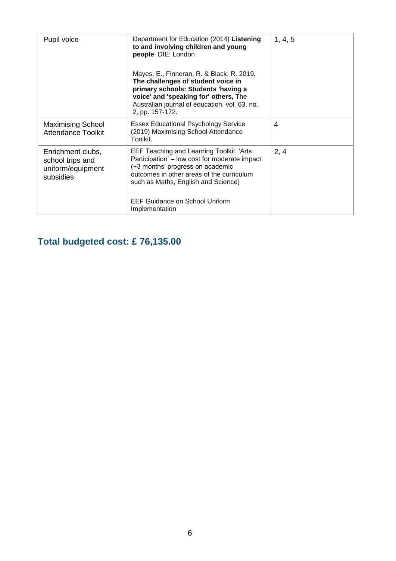| Pupil voice                                                             | Department for Education (2014) Listening<br>to and involving children and young<br>people. DfE: London<br>Mayes, E., Finneran, R. & Black, R. 2019,<br>The challenges of student voice in<br>primary schools: Students 'having a<br>voice' and 'speaking for' others, The<br>Australian journal of education, vol. 63, no.<br>2, pp. 157-172. | 1, 4, 5 |
|-------------------------------------------------------------------------|------------------------------------------------------------------------------------------------------------------------------------------------------------------------------------------------------------------------------------------------------------------------------------------------------------------------------------------------|---------|
| <b>Maximising School</b><br><b>Attendance Toolkit</b>                   | <b>Essex Educational Psychology Service</b><br>(2019) Maximising School Attendance<br>Toolkit.                                                                                                                                                                                                                                                 | 4       |
| Enrichment clubs,<br>school trips and<br>uniform/equipment<br>subsidies | EEF Teaching and Learning Toolkit. 'Arts<br>Participation' – low cost for moderate impact<br>(+3 months' progress on academic<br>outcomes in other areas of the curriculum<br>such as Maths, English and Science)<br>EEF Guidance on School Uniform<br>Implementation                                                                          | 2, 4    |

# **Total budgeted cost: £ 76,135.00**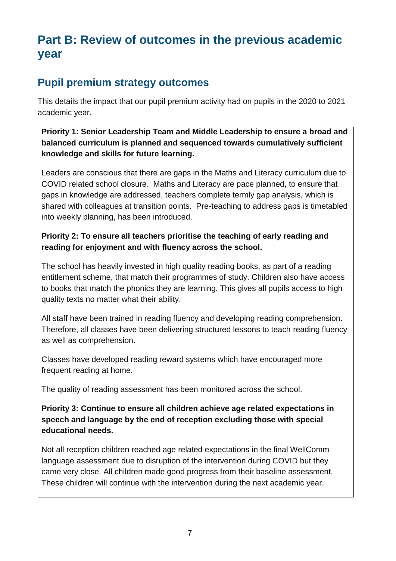# **Part B: Review of outcomes in the previous academic year**

# **Pupil premium strategy outcomes**

This details the impact that our pupil premium activity had on pupils in the 2020 to 2021 academic year.

#### **Priority 1: Senior Leadership Team and Middle Leadership to ensure a broad and balanced curriculum is planned and sequenced towards cumulatively sufficient knowledge and skills for future learning.**

Leaders are conscious that there are gaps in the Maths and Literacy curriculum due to COVID related school closure. Maths and Literacy are pace planned, to ensure that gaps in knowledge are addressed, teachers complete termly gap analysis, which is shared with colleagues at transition points. Pre-teaching to address gaps is timetabled into weekly planning, has been introduced.

#### **Priority 2: To ensure all teachers prioritise the teaching of early reading and reading for enjoyment and with fluency across the school.**

The school has heavily invested in high quality reading books, as part of a reading entitlement scheme, that match their programmes of study. Children also have access to books that match the phonics they are learning. This gives all pupils access to high quality texts no matter what their ability.

All staff have been trained in reading fluency and developing reading comprehension. Therefore, all classes have been delivering structured lessons to teach reading fluency as well as comprehension.

Classes have developed reading reward systems which have encouraged more frequent reading at home.

The quality of reading assessment has been monitored across the school.

**Priority 3: Continue to ensure all children achieve age related expectations in speech and language by the end of reception excluding those with special educational needs.**

Not all reception children reached age related expectations in the final WellComm language assessment due to disruption of the intervention during COVID but they came very close. All children made good progress from their baseline assessment. These children will continue with the intervention during the next academic year.